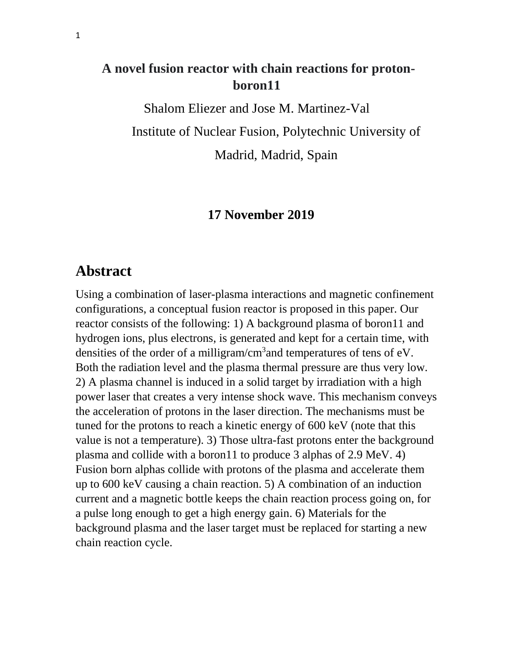# **A novel fusion reactor with chain reactions for protonboron11**

Shalom Eliezer and Jose M. Martinez-Val Institute of Nuclear Fusion, Polytechnic University of Madrid, Madrid, Spain

### **17 November 2019**

# **Abstract**

Using a combination of laser-plasma interactions and magnetic confinement configurations, a conceptual fusion reactor is proposed in this paper. Our reactor consists of the following: 1) A background plasma of boron11 and hydrogen ions, plus electrons, is generated and kept for a certain time, with densities of the order of a milligram/ $\text{cm}^3$  and temperatures of tens of eV. Both the radiation level and the plasma thermal pressure are thus very low. 2) A plasma channel is induced in a solid target by irradiation with a high power laser that creates a very intense shock wave. This mechanism conveys the acceleration of protons in the laser direction. The mechanisms must be tuned for the protons to reach a kinetic energy of 600 keV (note that this value is not a temperature). 3) Those ultra-fast protons enter the background plasma and collide with a boron11 to produce 3 alphas of 2.9 MeV. 4) Fusion born alphas collide with protons of the plasma and accelerate them up to 600 keV causing a chain reaction. 5) A combination of an induction current and a magnetic bottle keeps the chain reaction process going on, for a pulse long enough to get a high energy gain. 6) Materials for the background plasma and the laser target must be replaced for starting a new chain reaction cycle.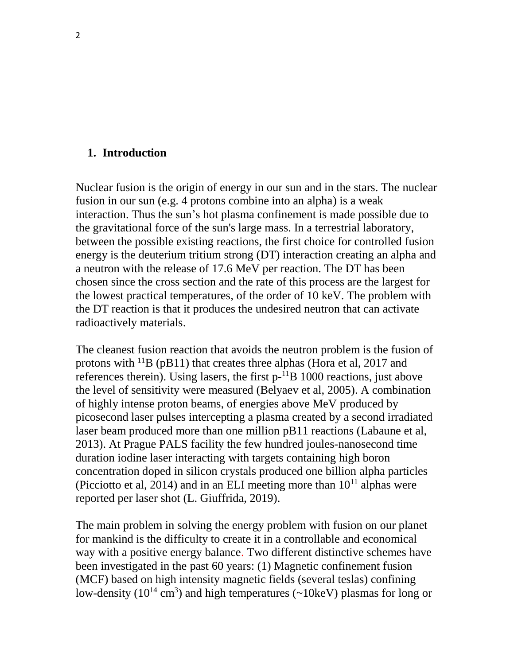#### **1. Introduction**

Nuclear fusion is the origin of energy in our sun and in the stars. The nuclear fusion in our sun (e.g. 4 protons combine into an alpha) is a weak interaction. Thus the sun's hot plasma confinement is made possible due to the gravitational force of the sun's large mass. In a terrestrial laboratory, between the possible existing reactions, the first choice for controlled fusion energy is the deuterium tritium strong (DT) interaction creating an alpha and a neutron with the release of 17.6 MeV per reaction. The DT has been chosen since the cross section and the rate of this process are the largest for the lowest practical temperatures, of the order of 10 keV. The problem with the DT reaction is that it produces the undesired neutron that can activate radioactively materials.

The cleanest fusion reaction that avoids the neutron problem is the fusion of protons with  $^{11}B$  (pB11) that creates three alphas (Hora et al, 2017 and references therein). Using lasers, the first  $p^{-1}B$  1000 reactions, just above the level of sensitivity were measured (Belyaev et al, 2005). A combination of highly intense proton beams, of energies above MeV produced by picosecond laser pulses intercepting a plasma created by a second irradiated laser beam produced more than one million pB11 reactions (Labaune et al, 2013). At Prague PALS facility the few hundred joules-nanosecond time duration iodine laser interacting with targets containing high boron concentration doped in silicon crystals produced one billion alpha particles (Picciotto et al, 2014) and in an ELI meeting more than  $10^{11}$  alphas were reported per laser shot (L. Giuffrida, 2019).

The main problem in solving the energy problem with fusion on our planet for mankind is the difficulty to create it in a controllable and economical way with a positive energy balance. Two different distinctive schemes have been investigated in the past 60 years: (1) Magnetic confinement fusion (MCF) based on high intensity magnetic fields (several teslas) confining low-density ( $10^{14}$  cm<sup>3</sup>) and high temperatures ( $\sim$ 10keV) plasmas for long or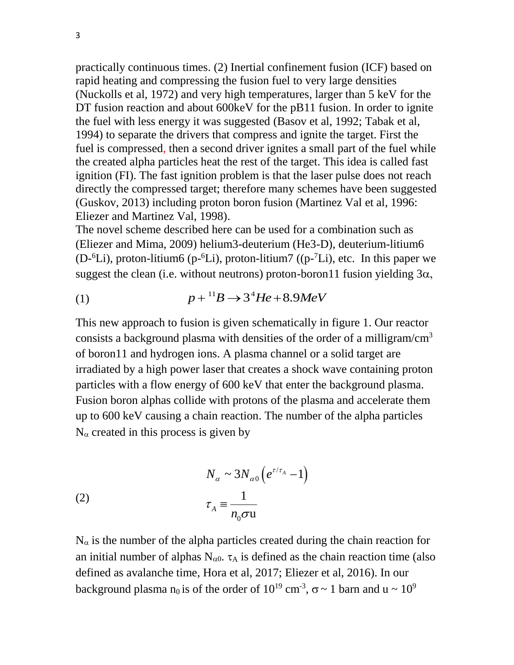practically continuous times. (2) Inertial confinement fusion (ICF) based on rapid heating and compressing the fusion fuel to very large densities (Nuckolls et al, 1972) and very high temperatures, larger than 5 keV for the DT fusion reaction and about 600keV for the pB11 fusion. In order to ignite the fuel with less energy it was suggested (Basov et al, 1992; Tabak et al, 1994) to separate the drivers that compress and ignite the target. First the fuel is compressed, then a second driver ignites a small part of the fuel while the created alpha particles heat the rest of the target. This idea is called fast ignition (FI). The fast ignition problem is that the laser pulse does not reach directly the compressed target; therefore many schemes have been suggested (Guskov, 2013) including proton boron fusion (Martinez Val et al, 1996: Eliezer and Martinez Val, 1998).

The novel scheme described here can be used for a combination such as (Eliezer and Mima, 2009) helium3-deuterium (He3-D), deuterium-litium6 (D- ${}^{6}$ Li), proton-litium6 (p- ${}^{6}$ Li), proton-litium7 ((p- ${}^{7}$ Li), etc. In this paper we suggest the clean (i.e. without neutrons) proton-boron 11 fusion yielding  $3\alpha$ ,

$$
(1) \t\t\t p+{}^{11}B \rightarrow 3^4He + 8.9MeV
$$

This new approach to fusion is given schematically in figure 1. Our reactor consists a background plasma with densities of the order of a milligram/ $\text{cm}^3$ of boron11 and hydrogen ions. A plasma channel or a solid target are irradiated by a high power laser that creates a shock wave containing proton particles with a flow energy of 600 keV that enter the background plasma. Fusion boron alphas collide with protons of the plasma and accelerate them up to 600 keV causing a chain reaction. The number of the alpha particles  $N_{\alpha}$  created in this process is given by

(2) 
$$
N_{\alpha} \sim 3N_{\alpha 0} \left( e^{\tau/\tau_A} - 1 \right)
$$

$$
\tau_A \equiv \frac{1}{n_0 \sigma u}
$$

 $N_{\alpha}$  is the number of the alpha particles created during the chain reaction for an initial number of alphas  $N_{\alpha 0}$ .  $\tau_A$  is defined as the chain reaction time (also defined as avalanche time, Hora et al, 2017; Eliezer et al, 2016). In our background plasma n<sub>0</sub> is of the order of  $10^{19}$  cm<sup>-3</sup>,  $\sigma \sim 1$  barn and u  $\sim 10^{9}$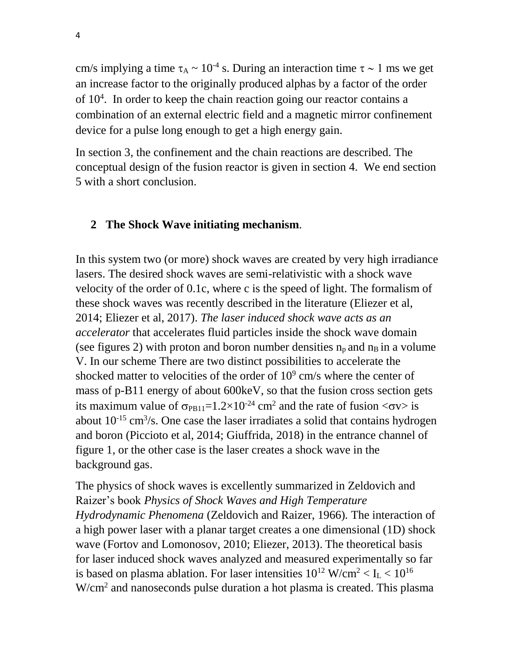cm/s implying a time  $\tau_A \sim 10^{-4}$  s. During an interaction time  $\tau \sim 1$  ms we get an increase factor to the originally produced alphas by a factor of the order of 10<sup>4</sup> . In order to keep the chain reaction going our reactor contains a combination of an external electric field and a magnetic mirror confinement device for a pulse long enough to get a high energy gain.

In section 3, the confinement and the chain reactions are described. The conceptual design of the fusion reactor is given in section 4. We end section 5 with a short conclusion.

#### **2 The Shock Wave initiating mechanism**.

In this system two (or more) shock waves are created by very high irradiance lasers. The desired shock waves are semi-relativistic with a shock wave velocity of the order of 0.1c, where c is the speed of light. The formalism of these shock waves was recently described in the literature (Eliezer et al, 2014; Eliezer et al, 2017). *The laser induced shock wave acts as an accelerator* that accelerates fluid particles inside the shock wave domain (see figures 2) with proton and boron number densities  $n_p$  and  $n_B$  in a volume V. In our scheme There are two distinct possibilities to accelerate the shocked matter to velocities of the order of  $10<sup>9</sup>$  cm/s where the center of mass of p-B11 energy of about 600keV, so that the fusion cross section gets its maximum value of  $\sigma_{PB11}=1.2\times10^{-24}$  cm<sup>2</sup> and the rate of fusion  $\langle \sigma v \rangle$  is about  $10^{-15}$  cm<sup>3</sup>/s. One case the laser irradiates a solid that contains hydrogen and boron (Piccioto et al, 2014; Giuffrida, 2018) in the entrance channel of figure 1, or the other case is the laser creates a shock wave in the background gas.

The physics of shock waves is excellently summarized in Zeldovich and Raizer's book *Physics of Shock Waves and High Temperature Hydrodynamic Phenomena* (Zeldovich and Raizer, 1966)*.* The interaction of a high power laser with a planar target creates a one dimensional (1D) shock wave (Fortov and Lomonosov, 2010; Eliezer, 2013). The theoretical basis for laser induced shock waves analyzed and measured experimentally so far is based on plasma ablation. For laser intensities  $10^{12}$  W/cm<sup>2</sup> < I<sub>L</sub> <  $10^{16}$ W/cm<sup>2</sup> and nanoseconds pulse duration a hot plasma is created. This plasma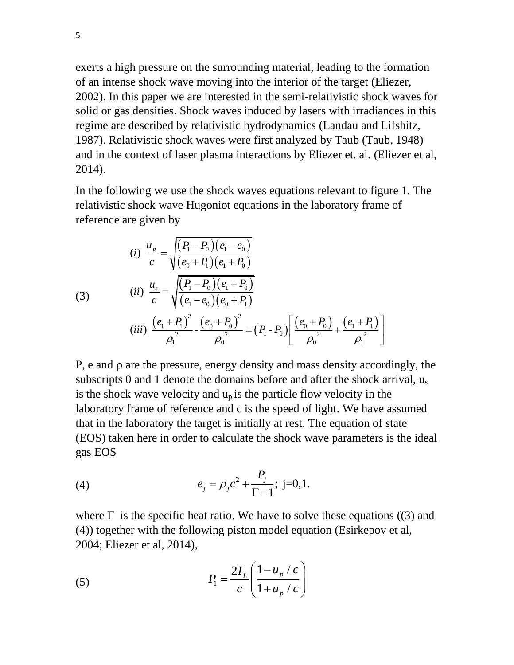exerts a high pressure on the surrounding material, leading to the formation of an intense shock wave moving into the interior of the target (Eliezer, 2002). In this paper we are interested in the semi-relativistic shock waves for solid or gas densities. Shock waves induced by lasers with irradiances in this regime are described by relativistic hydrodynamics (Landau and Lifshitz, 1987). Relativistic shock waves were first analyzed by Taub (Taub, 1948) and in the context of laser plasma interactions by Eliezer et. al. (Eliezer et al, 2014).

In the following we use the shock waves equations relevant to figure 1. The relativistic shock wave Hugoniot equations in the laboratory frame of reference are given by

reference are given by  
\n(i) 
$$
\frac{u_p}{c} = \sqrt{\frac{(P_1 - P_0)(e_1 - e_0)}{(e_0 + P_1)(e_1 + P_0)}}
$$
  
\n(i)  $\frac{u_s}{c} = \sqrt{\frac{(P_1 - P_0)(e_1 + P_0)}{(e_1 - e_0)(e_0 + P_1)}}$   
\n(iii)  $\frac{(e_1 + P_1)^2}{\rho_1^2} - \frac{(e_0 + P_0)^2}{\rho_0^2} = (P_1 - P_0) \left[ \frac{(e_0 + P_0)}{\rho_0^2} + \frac{(e_1 + P_1)}{\rho_1^2} \right]$ 

 $P$ , e and  $\rho$  are the pressure, energy density and mass density accordingly, the subscripts 0 and 1 denote the domains before and after the shock arrival, u<sub>s</sub> is the shock wave velocity and  $u_p$  is the particle flow velocity in the laboratory frame of reference and c is the speed of light. We have assumed that in the laboratory the target is initially at rest. The equation of state (EOS) taken here in order to calculate the shock wave parameters is the ideal gas EOS

(4) 
$$
e_j = \rho_j c^2 + \frac{P_j}{\Gamma - 1}
$$
; j=0,1.

where  $\Gamma$  is the specific heat ratio. We have to solve these equations ((3) and (4)) together with the following piston model equation (Esirkepov et al, 2004; Eliezer et al, 2014),

(5) 
$$
P_1 = \frac{2I_L}{c} \left( \frac{1 - u_p / c}{1 + u_p / c} \right)
$$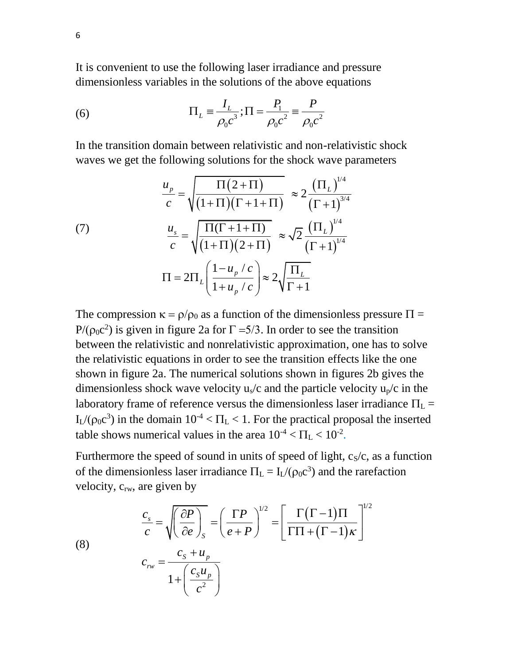It is convenient to use the following laser irradiance and pressure dimensionless variables in the solutions of the above equations

(6) 
$$
\Pi_L = \frac{I_L}{\rho_0 c^3}; \Pi = \frac{P_1}{\rho_0 c^2} = \frac{P}{\rho_0 c^2}
$$

In the transition domain between relativistic and non-relativistic shock

waves we get the following solutions for the shock wave parameters  
\n
$$
\frac{u_p}{c} = \sqrt{\frac{\Pi(2+\Pi)}{(1+\Pi)(\Gamma+1+\Pi)}} \approx 2 \frac{(\Pi_L)^{1/4}}{(\Gamma+1)^{3/4}}
$$
\n(7)\n
$$
\frac{u_s}{c} = \sqrt{\frac{\Pi(\Gamma+1+\Pi)}{(1+\Pi)(2+\Pi)}} \approx \sqrt{2} \frac{(\Pi_L)^{1/4}}{(\Gamma+1)^{1/4}}
$$
\n
$$
\Pi = 2\Pi_L \left( \frac{1 - u_p/c}{1 + u_p/c} \right) \approx 2 \sqrt{\frac{\Pi_L}{\Gamma+1}}
$$

The compression  $\kappa = \rho/\rho_0$  as a function of the dimensionless pressure  $\Pi =$  $P/(\rho_0 c^2)$  is given in figure 2a for  $\Gamma = 5/3$ . In order to see the transition between the relativistic and nonrelativistic approximation, one has to solve the relativistic equations in order to see the transition effects like the one shown in figure 2a. The numerical solutions shown in figures 2b gives the dimensionless shock wave velocity  $u_s/c$  and the particle velocity  $u_p/c$  in the laboratory frame of reference versus the dimensionless laser irradiance  $\Pi_L$  =  $I_{L}/(\rho_0 c^3)$  in the domain  $10^{-4} < \Pi_L < 1$ . For the practical proposal the inserted table shows numerical values in the area  $10^{-4} < \Pi_{\rm L} < 10^{-2}$ .

Furthermore the speed of sound in units of speed of light,  $c_s/c$ , as a function of the dimensionless laser irradiance  $\Pi_L = I_L/(\rho_0 c^3)$  and the rarefaction

velocity, 
$$
c_{rw}
$$
, are given by  
\n
$$
\frac{c_s}{c} = \sqrt{\left(\frac{\partial P}{\partial e}\right)_s} = \left(\frac{\Gamma P}{e+P}\right)^{1/2} = \left[\frac{\Gamma(\Gamma-1)\Pi}{\Gamma\Pi+(\Gamma-1)\kappa}\right]^{1/2}
$$
\n(8)  
\n
$$
c_{rw} = \frac{c_s + u_p}{1 + \left(\frac{c_s u_p}{c^2}\right)}
$$

6

(8)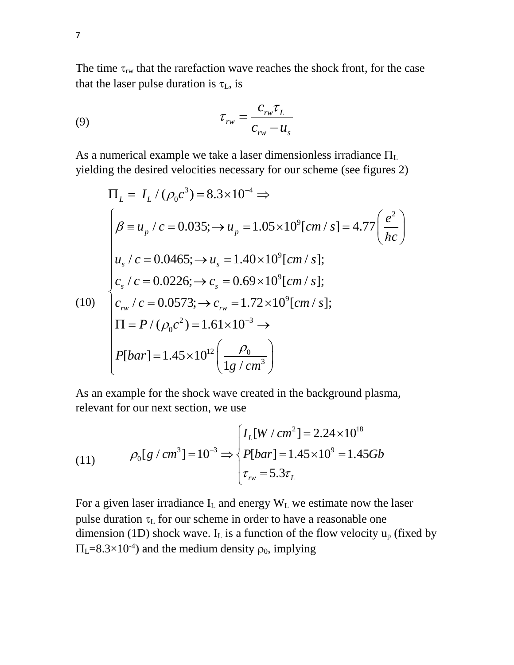The time  $\tau_{rw}$  that the rarefaction wave reaches the shock front, for the case that the laser pulse duration is  $\tau_L$ , is

$$
\tau_{rw} = \frac{c_{rw}\tau_L}{c_{rw} - u_s}
$$

As a numerical example we take a laser dimensionless irradiance  $\Pi_L$ yielding the desired velocities necessary for our scheme (see figures 2)<br>  $\Pi_x = I_x / (\rho_c c^3) = 8.3 \times 10^{-4} \implies$ 

yielding the desired velocities necessary for our scheme (see figures 2)  
\n
$$
\Pi_L = I_L / (\rho_0 c^3) = 8.3 \times 10^{-4} \Rightarrow
$$
\n
$$
\begin{cases}\n\beta \equiv u_p / c = 0.035; \rightarrow u_p = 1.05 \times 10^9 [cm/s] = 4.77 \left(\frac{e^2}{\hbar c}\right) \\
u_s / c = 0.0465; \rightarrow u_s = 1.40 \times 10^9 [cm/s]; \\
c_s / c = 0.0226; \rightarrow c_s = 0.69 \times 10^9 [cm/s]; \\
c_m / c = 0.0573; \rightarrow c_{rw} = 1.72 \times 10^9 [cm/s]; \\
\Pi = P / (\rho_0 c^2) = 1.61 \times 10^{-3} \Rightarrow \\
P[bar] = 1.45 \times 10^{12} \left(\frac{\rho_0}{1g/cm^3}\right)\n\end{cases}
$$

As an example for the shock wave created in the background plasma, relevant for our next section, we use

relevant for our next section, we use  
\n(11) 
$$
\rho_0[g/cm^3] = 10^{-3} \Rightarrow \begin{cases} I_L[W/cm^2] = 2.24 \times 10^{18} \\ P[bar] = 1.45 \times 10^9 = 1.45Gb \\ \tau_w = 5.3\tau_L \end{cases}
$$

For a given laser irradiance  $I_L$  and energy  $W_L$  we estimate now the laser pulse duration  $\tau_L$  for our scheme in order to have a reasonable one dimension (1D) shock wave. I<sub>L</sub> is a function of the flow velocity  $u_p$  (fixed by  $\Pi_{\text{L}} = 8.3 \times 10^{-4}$  and the medium density  $\rho_0$ , implying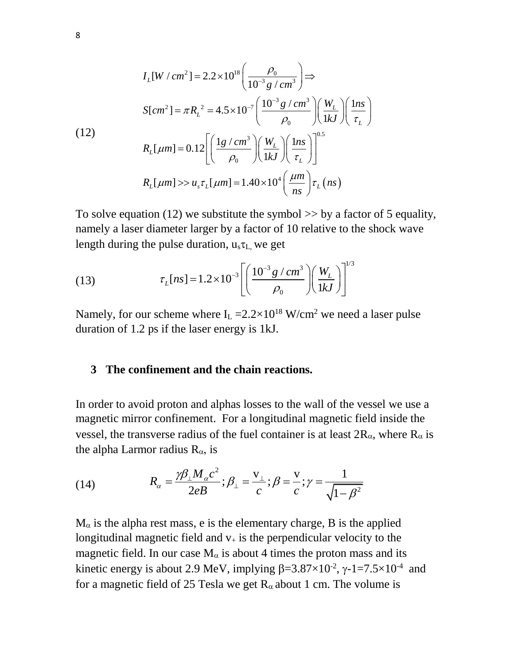$$
I_{L}[W/cm^{2}] = 2.2 \times 10^{18} \left(\frac{\rho_{0}}{10^{-3} g/cm^{3}}\right) \Rightarrow
$$
\n
$$
S[cm^{2}] = \pi R_{L}^{2} = 4.5 \times 10^{-7} \left(\frac{10^{-3} g/cm^{3}}{\rho_{0}}\right) \left(\frac{W_{L}}{1 k J}\right) \left(\frac{1 n s}{\tau_{L}}\right)
$$
\n(12)\n
$$
R_{L}[µm] = 0.12 \left[\left(\frac{1 g/cm^{3}}{\rho_{0}}\right) \left(\frac{W_{L}}{1 k J}\right) \left(\frac{1 n s}{\tau_{L}}\right)\right]^{0.5}
$$
\n
$$
R_{L}[µm] >> u_{s} \tau_{L}[µm] = 1.40 \times 10^{4} \left(\frac{\mu m}{n s}\right) \tau_{L}(n s)
$$

To solve equation (12) we substitute the symbol  $\gg$  by a factor of 5 equality, namely a laser diameter larger by a factor of 10 relative to the shock wave length during the pulse duration,  $u_s\tau_L$ , we get

(13) 
$$
\tau_L[ns] = 1.2 \times 10^{-3} \left[ \left( \frac{10^{-3} g / cm^3}{\rho_0} \right) \left( \frac{W_L}{1 k J} \right) \right]^{1/3}
$$

Namely, for our scheme where  $I_L = 2.2 \times 10^{18}$  W/cm<sup>2</sup> we need a laser pulse duration of 1.2 ps if the laser energy is 1kJ.

#### **3 The confinement and the chain reactions.**

In order to avoid proton and alphas losses to the wall of the vessel we use a magnetic mirror confinement. For a longitudinal magnetic field inside the vessel, the transverse radius of the fuel container is at least  $2R_{\alpha}$ , where  $R_{\alpha}$  is

the alpha Larmor radius R<sub>α</sub>, is  
\n(14) 
$$
R_{\alpha} = \frac{\gamma \beta_{\perp} M_{\alpha} c^2}{2eB}; \beta_{\perp} = \frac{v_{\perp}}{c}; \beta = \frac{v}{c}; \gamma = \frac{1}{\sqrt{1 - \beta^2}}
$$

 $M_{\alpha}$  is the alpha rest mass, e is the elementary charge, B is the applied longitudinal magnetic field and  $v_{+}$  is the perpendicular velocity to the magnetic field. In our case  $M_{\alpha}$  is about 4 times the proton mass and its kinetic energy is about 2.9 MeV, implying  $\beta = 3.87 \times 10^{-2}$ ,  $\gamma - 1 = 7.5 \times 10^{-4}$  and for a magnetic field of 25 Tesla we get  $R_{\alpha}$  about 1 cm. The volume is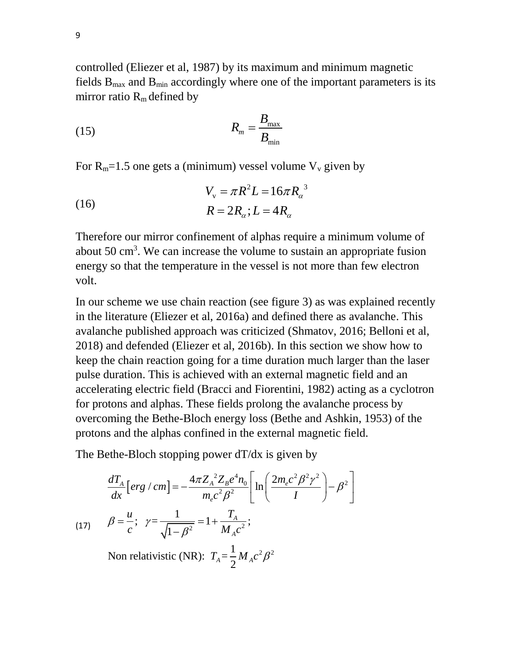controlled (Eliezer et al, 1987) by its maximum and minimum magnetic fields  $B_{\text{max}}$  and  $B_{\text{min}}$  accordingly where one of the important parameters is its mirror ratio  $R_m$  defined by

$$
R_m = \frac{B_{\text{max}}}{B_{\text{min}}}
$$

For  $R_m=1.5$  one gets a (minimum) vessel volume  $V_y$  given by

(16) 
$$
V_{v} = \pi R^{2} L = 16 \pi R_{a}^{3}
$$

$$
R = 2R_{a}; L = 4R_{a}
$$

Therefore our mirror confinement of alphas require a minimum volume of about 50 cm<sup>3</sup>. We can increase the volume to sustain an appropriate fusion energy so that the temperature in the vessel is not more than few electron volt.

In our scheme we use chain reaction (see figure 3) as was explained recently in the literature (Eliezer et al, 2016a) and defined there as avalanche. This avalanche published approach was criticized (Shmatov, 2016; Belloni et al, 2018) and defended (Eliezer et al, 2016b). In this section we show how to keep the chain reaction going for a time duration much larger than the laser pulse duration. This is achieved with an external magnetic field and an accelerating electric field (Bracci and Fiorentini, 1982) acting as a cyclotron for protons and alphas. These fields prolong the avalanche process by overcoming the Bethe-Bloch energy loss (Bethe and Ashkin, 1953) of the protons and the alphas confined in the external magnetic field.

The Bethe-Bloch stopping power dT/dx is given by  
\n
$$
\frac{dT_A}{dx} [erg / cm] = -\frac{4\pi Z_A^2 Z_B e^4 n_0}{m_e c^2 \beta^2} \left[ \ln \left( \frac{2m_e c^2 \beta^2 \gamma^2}{I} \right) - \beta^2 \right]
$$
\n(17) 
$$
\beta = \frac{u}{c}; \ \gamma = \frac{1}{\sqrt{1 - \beta^2}} = 1 + \frac{T_A}{M_A c^2};
$$
\nNon relativistic (NR):  $T_A = \frac{1}{2} M_A c^2 \beta^2$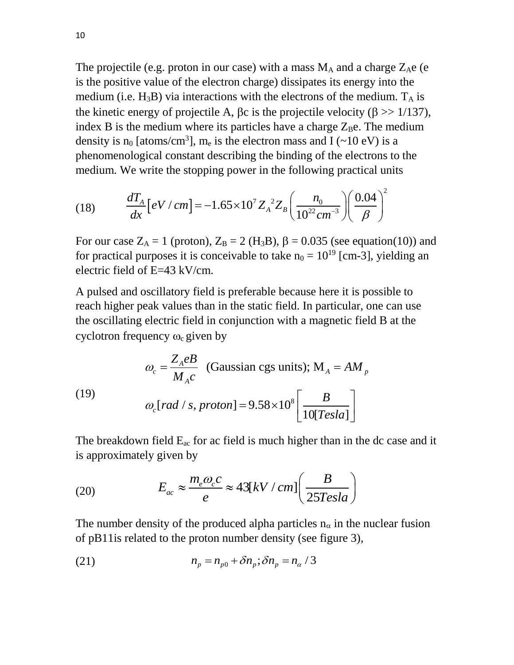The projectile (e.g. proton in our case) with a mass  $M_A$  and a charge  $Z_Ae$  (e is the positive value of the electron charge) dissipates its energy into the medium (i.e.  $H_3B$ ) via interactions with the electrons of the medium.  $T_A$  is the kinetic energy of projectile A,  $\beta c$  is the projectile velocity ( $\beta \gg 1/137$ ), index B is the medium where its particles have a charge  $Z_Be$ . The medium density is  $n_0$  [atoms/cm<sup>3</sup>],  $m_e$  is the electron mass and I (~10 eV) is a phenomenological constant describing the binding of the electrons to the

medium. We write the stopping power in the following practical units  
(18) 
$$
\frac{dT_A}{dx} [eV/cm] = -1.65 \times 10^7 Z_A^{22} Z_B \left(\frac{n_0}{10^{22} cm^{-3}}\right) \left(\frac{0.04}{\beta}\right)^2
$$

For our case  $Z_A = 1$  (proton),  $Z_B = 2$  (H<sub>3</sub>B),  $\beta = 0.035$  (see equation(10)) and for practical purposes it is conceivable to take  $n_0 = 10^{19}$  [cm-3], yielding an electric field of E=43 kV/cm.

A pulsed and oscillatory field is preferable because here it is possible to reach higher peak values than in the static field. In particular, one can use the oscillating electric field in conjunction with a magnetic field B at the cyclotron frequency  $\omega_c$  given by

cyclotron frequency 
$$
\omega_c
$$
 given by

\n
$$
\omega_c = \frac{Z_A e}{M_A c} \quad \text{(Gaussian cgs units)}; \text{M}_A = AM_p
$$
\n
$$
\omega_c \text{[rad / s, proton]} = 9.58 \times 10^8 \left[ \frac{B}{10 \text{[Testa]}} \right]
$$

The breakdown field  $E_{ac}$  for ac field is much higher than in the dc case and it is approximately given by

(20) 
$$
E_{ac} \approx \frac{m_e \omega_c c}{e} \approx 43[kV/cm] \left(\frac{B}{25Tesla}\right)
$$

The number density of the produced alpha particles  $n_{\alpha}$  in the nuclear fusion of pB11is related to the proton number density (see figure 3),

(21) 
$$
n_p = n_{p0} + \delta n_p; \delta n_p = n_\alpha / 3
$$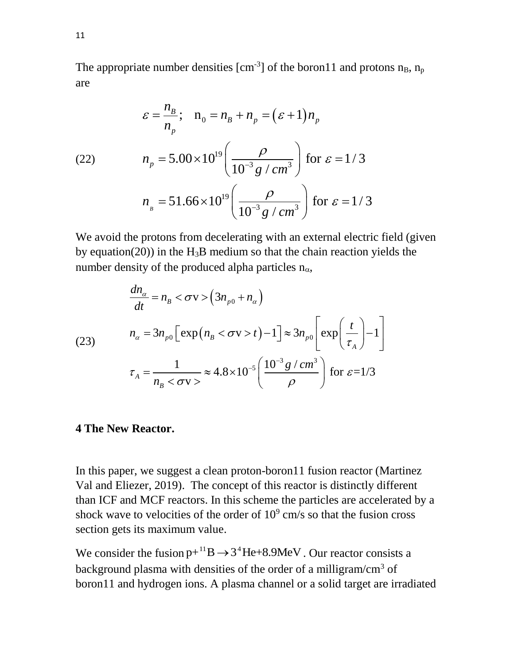The appropriate number densities  $[cm^{-3}]$  of the boron11 and protons  $n_B$ ,  $n_p$ are

are  
\n
$$
\varepsilon = \frac{n_B}{n_p}; \quad n_0 = n_B + n_p = (\varepsilon + 1)n_p
$$
\n(22) 
$$
n_p = 5.00 \times 10^{19} \left( \frac{\rho}{10^{-3} g / cm^3} \right) \text{ for } \varepsilon = 1/3
$$
\n
$$
n_s = 51.66 \times 10^{19} \left( \frac{\rho}{10^{-3} g / cm^3} \right) \text{ for } \varepsilon = 1/3
$$

We avoid the protons from decelerating with an external electric field (given by equation(20)) in the  $H_3B$  medium so that the chain reaction yields the

number density of the produced alpha particles 
$$
n_{\alpha}
$$
,  
\n
$$
\frac{dn_{\alpha}}{dt} = n_{B} < \sigma v > (3n_{p0} + n_{\alpha})
$$
\n
$$
n_{\alpha} = 3n_{p0} \left[ exp(n_{B} < \sigma v > t) - 1 \right] \approx 3n_{p0} \left[ exp\left(\frac{t}{\tau_{A}}\right) - 1 \right]
$$
\n
$$
\tau_{A} = \frac{1}{n_{B} < \sigma v >} \approx 4.8 \times 10^{-5} \left( \frac{10^{-3} g / cm^{3}}{\rho} \right) \text{ for } \varepsilon = 1/3
$$

### **4 The New Reactor.**

In this paper, we suggest a clean proton-boron11 fusion reactor (Martinez Val and Eliezer, 2019). The concept of this reactor is distinctly different than ICF and MCF reactors. In this scheme the particles are accelerated by a shock wave to velocities of the order of  $10<sup>9</sup>$  cm/s so that the fusion cross section gets its maximum value.

We consider the fusion  $p+^{11}B \rightarrow 3^4He+8.9MeV$ . Our reactor consists a background plasma with densities of the order of a milligram/cm<sup>3</sup> of boron11 and hydrogen ions. A plasma channel or a solid target are irradiated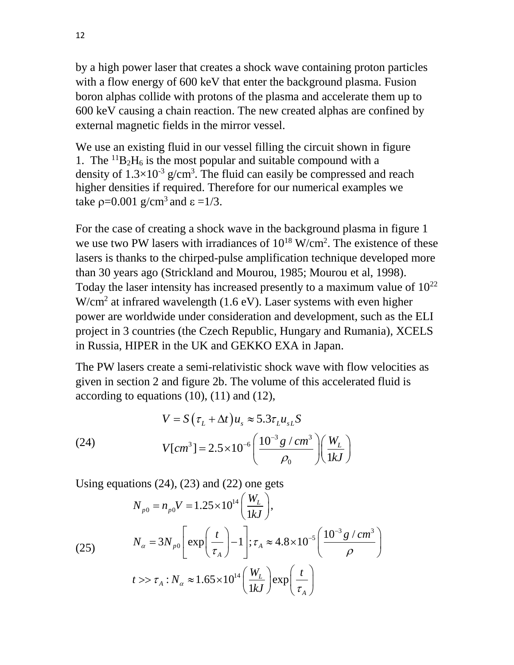by a high power laser that creates a shock wave containing proton particles with a flow energy of 600 keV that enter the background plasma. Fusion boron alphas collide with protons of the plasma and accelerate them up to 600 keV causing a chain reaction. The new created alphas are confined by external magnetic fields in the mirror vessel.

We use an existing fluid in our vessel filling the circuit shown in figure 1. The  ${}^{11}B_2H_6$  is the most popular and suitable compound with a density of  $1.3 \times 10^{-3}$  g/cm<sup>3</sup>. The fluid can easily be compressed and reach higher densities if required. Therefore for our numerical examples we take  $p=0.001$  g/cm<sup>3</sup> and  $\epsilon =1/3$ .

For the case of creating a shock wave in the background plasma in figure 1 we use two PW lasers with irradiances of  $10^{18}$  W/cm<sup>2</sup>. The existence of these lasers is thanks to the chirped-pulse amplification technique developed more than 30 years ago (Strickland and Mourou, 1985; Mourou et al, 1998). Today the laser intensity has increased presently to a maximum value of  $10^{22}$  $W/cm<sup>2</sup>$  at infrared wavelength (1.6 eV). Laser systems with even higher power are worldwide under consideration and development, such as the ELI project in 3 countries (the Czech Republic, Hungary and Rumania), XCELS in Russia, HIPER in the UK and GEKKO EXA in Japan.

The PW lasers create a semi-relativistic shock wave with flow velocities as given in section 2 and figure 2b. The volume of this accelerated fluid is

according to equations (10), (11) and (12),  
\n
$$
V = S(\tau_L + \Delta t)u_s \approx 5.3\tau_L u_{sL}S
$$
\n(24) 
$$
V[cm^3] = 2.5 \times 10^{-6} \left(\frac{10^{-3} g/cm^3}{\rho_0}\right) \left(\frac{W_L}{1kJ}\right)
$$

Using equations (24), (23) and (22) one gets  
\n
$$
N_{p0} = n_{p0}V = 1.25 \times 10^{14} \left(\frac{W_L}{1kJ}\right),
$$
\n
$$
N_{\alpha} = 3N_{p0} \left[\exp\left(\frac{t}{\tau_A}\right) - 1\right]; \tau_A \approx 4.8 \times 10^{-5} \left(\frac{10^{-3} g/cm^3}{\rho}\right)
$$
\n
$$
t >> \tau_A : N_{\alpha} \approx 1.65 \times 10^{14} \left(\frac{W_L}{1kJ}\right) \exp\left(\frac{t}{\tau_A}\right)
$$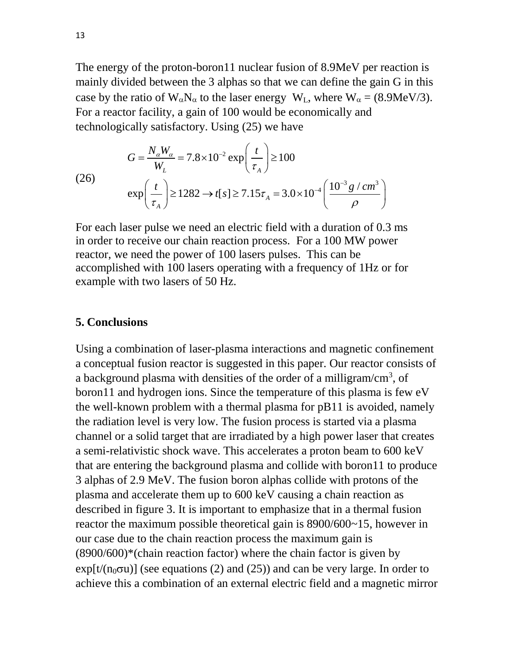The energy of the proton-boron11 nuclear fusion of 8.9MeV per reaction is mainly divided between the 3 alphas so that we can define the gain G in this case by the ratio of  $W_{\alpha}N_{\alpha}$  to the laser energy  $W_L$ , where  $W_{\alpha} = (8.9 \text{MeV}/3)$ . For a reactor facility, a gain of 100 would be economically and

technologically satisfactory. Using (25) we have  
\n
$$
G = \frac{N_{\alpha}W_{\alpha}}{W_{L}} = 7.8 \times 10^{-2} \exp\left(\frac{t}{\tau_{A}}\right) \ge 100
$$
\n(26)\n
$$
\exp\left(\frac{t}{\tau_{A}}\right) \ge 1282 \to t[s] \ge 7.15\tau_{A} = 3.0 \times 10^{-4} \left(\frac{10^{-3} g/cm^{3}}{\rho}\right)
$$

For each laser pulse we need an electric field with a duration of 0.3 ms in order to receive our chain reaction process. For a 100 MW power reactor, we need the power of 100 lasers pulses. This can be accomplished with 100 lasers operating with a frequency of 1Hz or for example with two lasers of 50 Hz.

#### **5. Conclusions**

Using a combination of laser-plasma interactions and magnetic confinement a conceptual fusion reactor is suggested in this paper. Our reactor consists of a background plasma with densities of the order of a milligram/cm<sup>3</sup>, of boron11 and hydrogen ions. Since the temperature of this plasma is few eV the well-known problem with a thermal plasma for pB11 is avoided, namely the radiation level is very low. The fusion process is started via a plasma channel or a solid target that are irradiated by a high power laser that creates a semi-relativistic shock wave. This accelerates a proton beam to 600 keV that are entering the background plasma and collide with boron11 to produce 3 alphas of 2.9 MeV. The fusion boron alphas collide with protons of the plasma and accelerate them up to 600 keV causing a chain reaction as described in figure 3. It is important to emphasize that in a thermal fusion reactor the maximum possible theoretical gain is 8900/600~15, however in our case due to the chain reaction process the maximum gain is  $(8900/600)$ <sup>\*</sup>(chain reaction factor) where the chain factor is given by  $exp[t/(n_0\sigma u)]$  (see equations (2) and (25)) and can be very large. In order to achieve this a combination of an external electric field and a magnetic mirror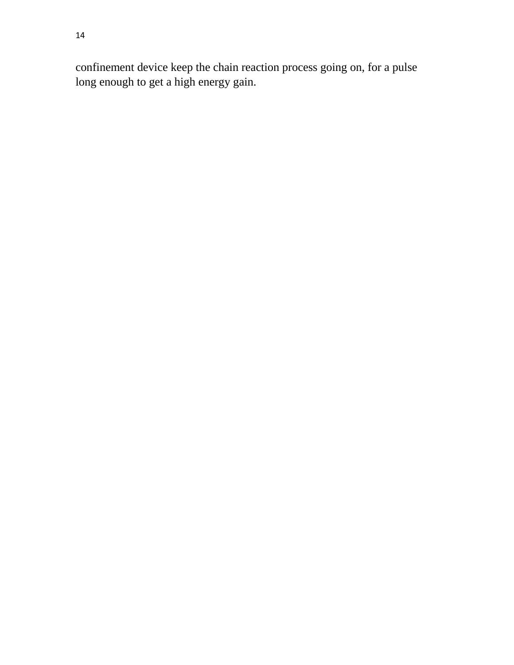confinement device keep the chain reaction process going on, for a pulse long enough to get a high energy gain.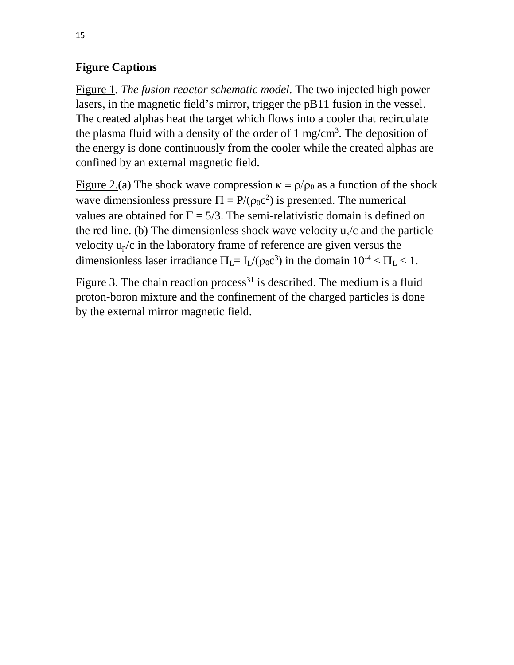## **Figure Captions**

Figure 1*. The fusion reactor schematic model.* The two injected high power lasers, in the magnetic field's mirror, trigger the pB11 fusion in the vessel. The created alphas heat the target which flows into a cooler that recirculate the plasma fluid with a density of the order of  $1 \text{ mg/cm}^3$ . The deposition of the energy is done continuously from the cooler while the created alphas are confined by an external magnetic field.

Figure 2.(a) The shock wave compression  $\kappa = \rho/\rho_0$  as a function of the shock wave dimensionless pressure  $\Pi = P/(\rho_0 c^2)$  is presented. The numerical values are obtained for  $\Gamma = 5/3$ . The semi-relativistic domain is defined on the red line. (b) The dimensionless shock wave velocity  $u_s/c$  and the particle velocity  $u_p/c$  in the laboratory frame of reference are given versus the dimensionless laser irradiance  $\Pi_L = I_L/(\rho_0 c^3)$  in the domain  $10^{-4} < \Pi_L < 1$ .

Figure 3. The chain reaction process<sup>31</sup> is described. The medium is a fluid proton-boron mixture and the confinement of the charged particles is done by the external mirror magnetic field.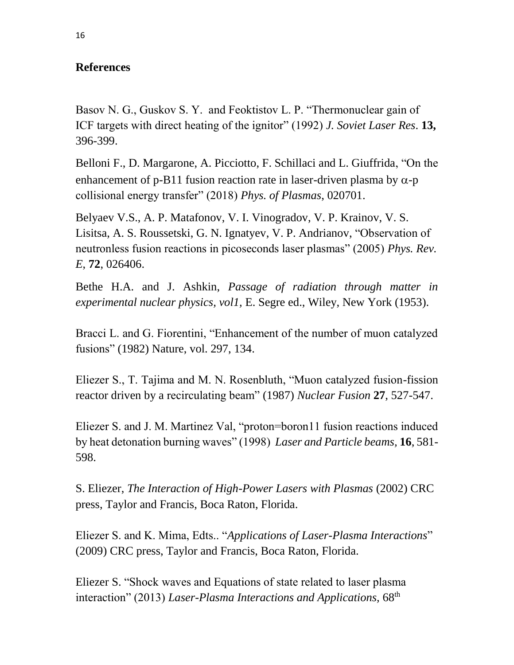## **References**

Basov N. G., Guskov S. Y. and Feoktistov L. P. "Thermonuclear gain of ICF targets with direct heating of the ignitor" (1992) *J. Soviet Laser Res*. **13,**  396-399.

Belloni F., D. Margarone, A. Picciotto, F. Schillaci and L. Giuffrida, "On the enhancement of p-B11 fusion reaction rate in laser-driven plasma by  $\alpha$ -p collisional energy transfer" (2018) *Phys. of Plasmas*, 020701.

Belyaev V.S., A. P. Matafonov, V. I. Vinogradov, V. P. Krainov, V. S. Lisitsa, A. S. Roussetski, G. N. Ignatyev, V. P. Andrianov, "Observation of neutronless fusion reactions in picoseconds laser plasmas" (2005) *Phys. Rev. E*, **72**, 026406.

Bethe H.A. and J. Ashkin, *Passage of radiation through matter in experimental nuclear physics, vol1,* E. Segre ed., Wiley, New York (1953).

Bracci L. and G. Fiorentini, "Enhancement of the number of muon catalyzed fusions" (1982) Nature, vol. 297, 134.

Eliezer S., T. Tajima and M. N. Rosenbluth, "Muon catalyzed fusion-fission reactor driven by a recirculating beam" (1987) *Nuclear Fusion* **27**, 527-547.

Eliezer S. and J. M. Martinez Val, "proton=boron11 fusion reactions induced by heat detonation burning waves" (1998) *Laser and Particle beams,* **16**, 581- 598.

S. Eliezer, *The Interaction of High-Power Lasers with Plasmas* (2002) CRC press, Taylor and Francis, Boca Raton, Florida.

Eliezer S. and K. Mima, Edts.. "*Applications of Laser-Plasma Interactions*" (2009) CRC press, Taylor and Francis, Boca Raton, Florida.

Eliezer S. "Shock waves and Equations of state related to laser plasma interaction" (2013) *Laser-Plasma Interactions and Applications*, 68<sup>th</sup>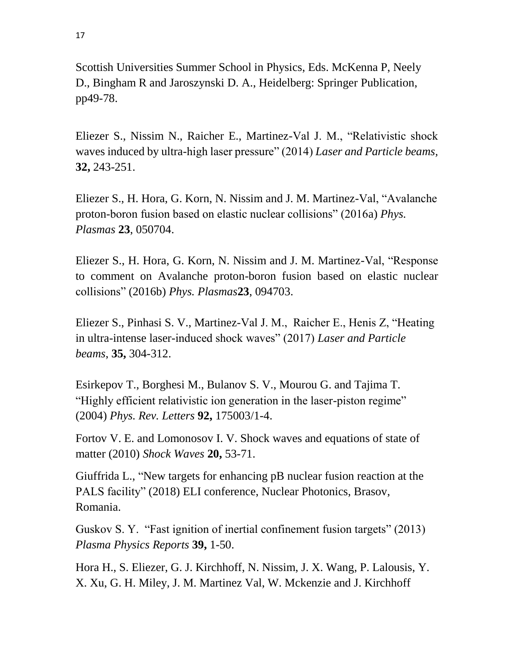Scottish Universities Summer School in Physics, Eds. McKenna P, Neely D., Bingham R and Jaroszynski D. A., Heidelberg: Springer Publication, pp49-78.

Eliezer S., Nissim N., Raicher E., Martinez-Val J. M., "Relativistic shock waves induced by ultra-high laser pressure" (2014) *Laser and Particle beams,*  **32,** 243-251.

Eliezer S., H. Hora, G. Korn, N. Nissim and J. M. Martinez-Val, "Avalanche proton-boron fusion based on elastic nuclear collisions" (2016a) *Phys. Plasmas* **23**, 050704.

Eliezer S., H. Hora, G. Korn, N. Nissim and J. M. Martinez-Val, "Response to comment on Avalanche proton-boron fusion based on elastic nuclear collisions" (2016b) *Phys. Plasmas***23**, 094703.

Eliezer S., Pinhasi S. V., Martinez-Val J. M., Raicher E., Henis Z, "Heating in ultra-intense laser-induced shock waves" (2017) *Laser and Particle beams*, **35,** 304-312.

Esirkepov T., Borghesi M., Bulanov S. V., Mourou G. and Tajima T. "Highly efficient relativistic ion generation in the laser-piston regime" (2004) *Phys. Rev. Letters* **92,** 175003/1-4.

Fortov V. E. and Lomonosov I. V. Shock waves and equations of state of matter (2010) *Shock Waves* **20,** 53-71.

Giuffrida L., "New targets for enhancing pB nuclear fusion reaction at the PALS facility" (2018) ELI conference, Nuclear Photonics, Brasov, Romania.

Guskov S. Y. "Fast ignition of inertial confinement fusion targets" (2013) *Plasma Physics Reports* **39,** 1-50.

Hora H., S. Eliezer, G. J. Kirchhoff, N. Nissim, J. X. Wang, P. Lalousis, Y. X. Xu, G. H. Miley, J. M. Martinez Val, W. Mckenzie and J. Kirchhoff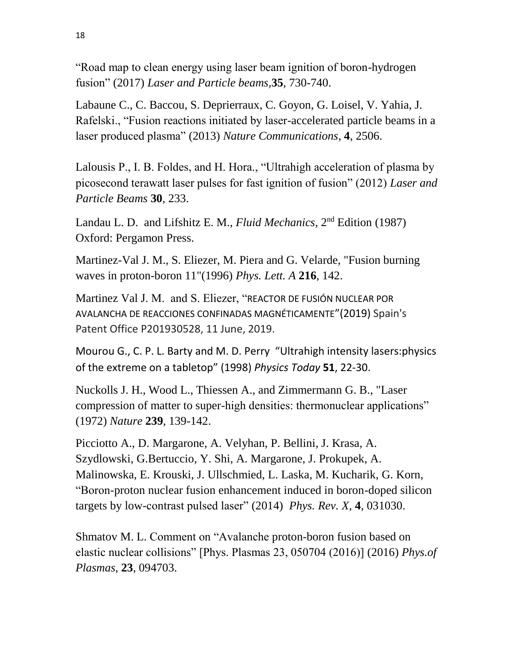"Road map to clean energy using laser beam ignition of boron-hydrogen fusion" (2017) *Laser and Particle beams,***35**, 730-740.

Labaune C., C. Baccou, S. Deprierraux, C. Goyon, G. Loisel, V. Yahia, J. Rafelski., "Fusion reactions initiated by laser-accelerated particle beams in a laser produced plasma" (2013) *Nature Communications*, **4**, 2506.

Lalousis P., I. B. Foldes, and H. Hora., "Ultrahigh acceleration of plasma by picosecond terawatt laser pulses for fast ignition of fusion" (2012) *Laser and Particle Beams* **30**, 233.

Landau L. D. and Lifshitz E. M., *Fluid Mechanics*, 2nd Edition (1987) Oxford: Pergamon Press.

Martinez-Val J. M., S. Eliezer, M. Piera and G. Velarde, "Fusion burning waves in proton-boron 11"(1996) *Phys. Lett. A* **216**, 142.

Martinez Val J. M. and S. Eliezer, "REACTOR DE FUSIÓN NUCLEAR POR AVALANCHA DE REACCIONES CONFINADAS MAGNÉTICAMENTE"(2019) Spain's Patent Office P201930528, 11 June, 2019.

Mourou G., C. P. L. Barty and M. D. Perry "Ultrahigh intensity lasers:physics of the extreme on a tabletop" (1998) *Physics Today* **51**, 22-30.

Nuckolls J. H., Wood L., Thiessen A., and Zimmermann G. B., "Laser compression of matter to super-high densities: thermonuclear applications" (1972) *Nature* **239**, 139-142.

Picciotto A., D. Margarone, A. Velyhan, P. Bellini, J. Krasa, A. Szydlowski, G.Bertuccio, Y. Shi, A. Margarone, J. Prokupek, A. Malinowska, E. Krouski, J. Ullschmied, L. Laska, M. Kucharik, G. Korn, "Boron-proton nuclear fusion enhancement induced in boron-doped silicon targets by low-contrast pulsed laser" (2014) *Phys. Rev. X*, **4**, 031030.

Shmatov M. L. Comment on "Avalanche proton-boron fusion based on elastic nuclear collisions" [Phys. Plasmas 23, 050704 (2016)] (2016) *Phys.of Plasmas*, **23**, 094703.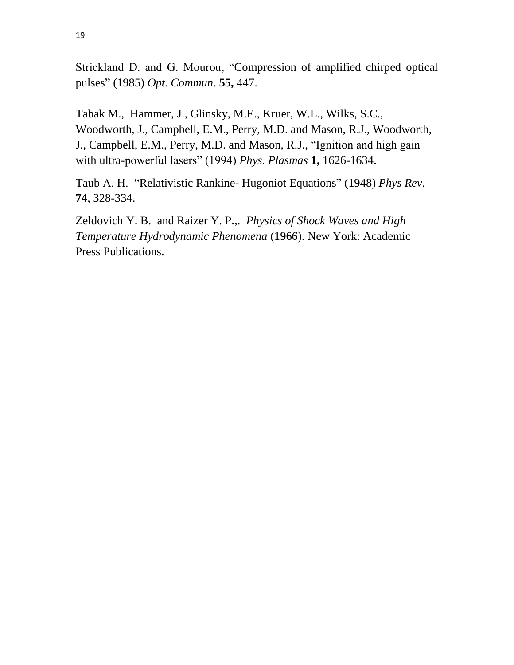Strickland D. and G. Mourou, "Compression of amplified chirped optical pulses" (1985) *Opt. Commun*. **55,** 447.

Tabak M., Hammer, J., Glinsky, M.E., Kruer, W.L., Wilks, S.C., Woodworth, J., Campbell, E.M., Perry, M.D. and Mason, R.J., Woodworth, J., Campbell, E.M., Perry, M.D. and Mason, R.J., "Ignition and high gain with ultra-powerful lasers" (1994) *Phys. Plasmas* **1,** 1626-1634.

Taub A. H. "Relativistic Rankine- Hugoniot Equations" (1948) *Phys Rev,* **74**, 328-334.

Zeldovich Y. B. and Raizer Y. P.,. *Physics of Shock Waves and High Temperature Hydrodynamic Phenomena* (1966). New York: Academic Press Publications.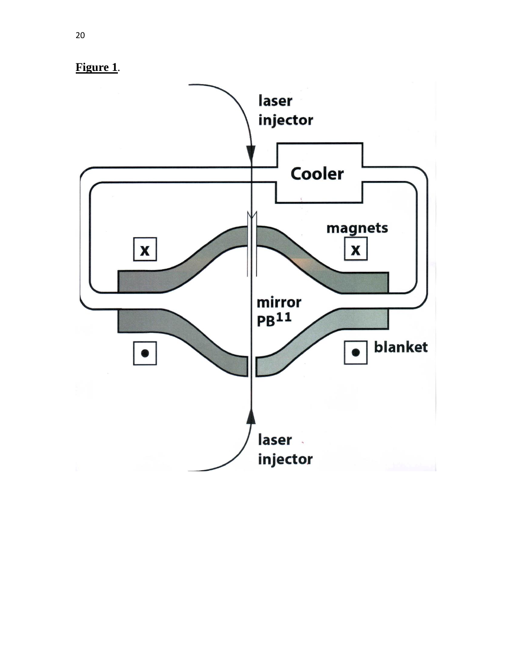

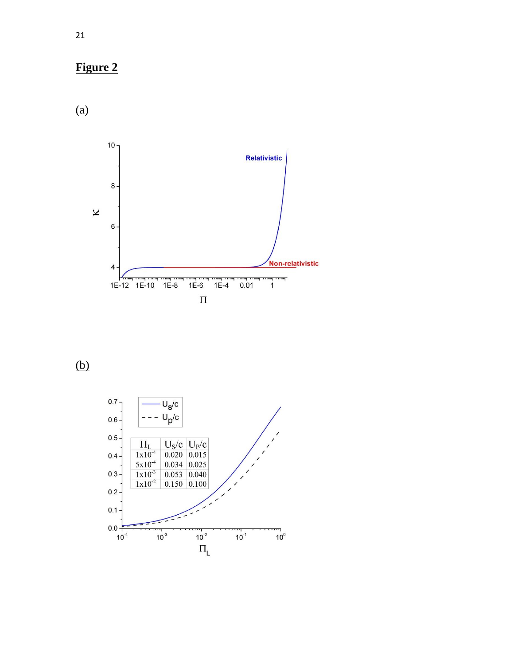

(a)



(b)